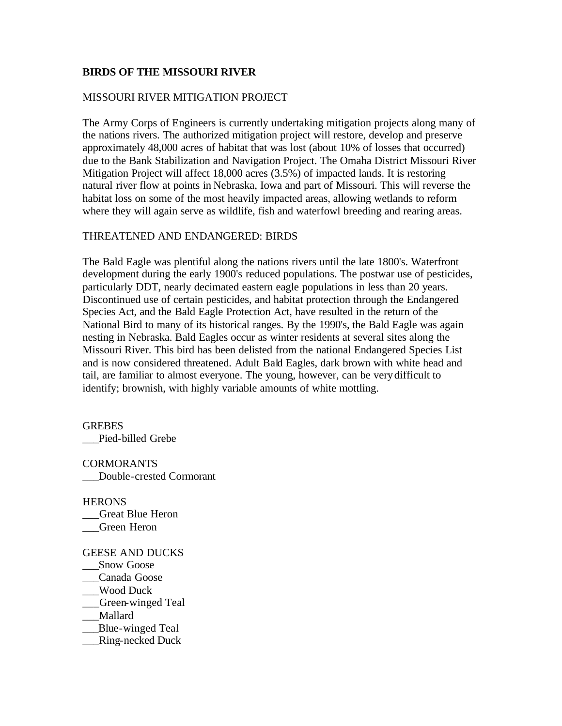## **BIRDS OF THE MISSOURI RIVER**

## MISSOURI RIVER MITIGATION PROJECT

The Army Corps of Engineers is currently undertaking mitigation projects along many of the nations rivers. The authorized mitigation project will restore, develop and preserve approximately 48,000 acres of habitat that was lost (about 10% of losses that occurred) due to the Bank Stabilization and Navigation Project. The Omaha District Missouri River Mitigation Project will affect 18,000 acres (3.5%) of impacted lands. It is restoring natural river flow at points in Nebraska, Iowa and part of Missouri. This will reverse the habitat loss on some of the most heavily impacted areas, allowing wetlands to reform where they will again serve as wildlife, fish and waterfowl breeding and rearing areas.

# THREATENED AND ENDANGERED: BIRDS

The Bald Eagle was plentiful along the nations rivers until the late 1800's. Waterfront development during the early 1900's reduced populations. The postwar use of pesticides, particularly DDT, nearly decimated eastern eagle populations in less than 20 years. Discontinued use of certain pesticides, and habitat protection through the Endangered Species Act, and the Bald Eagle Protection Act, have resulted in the return of the National Bird to many of its historical ranges. By the 1990's, the Bald Eagle was again nesting in Nebraska. Bald Eagles occur as winter residents at several sites along the Missouri River. This bird has been delisted from the national Endangered Species List and is now considered threatened. Adult Bald Eagles, dark brown with white head and tail, are familiar to almost everyone. The young, however, can be verydifficult to identify; brownish, with highly variable amounts of white mottling.

**GREBES** \_\_\_Pied-billed Grebe

**CORMORANTS** \_\_\_Double-crested Cormorant

**HERONS** \_\_\_Great Blue Heron \_\_\_Green Heron

GEESE AND DUCKS Snow Goose \_\_\_Canada Goose \_\_\_Wood Duck \_\_\_Green-winged Teal \_\_\_Mallard \_\_\_Blue-winged Teal \_\_\_Ring-necked Duck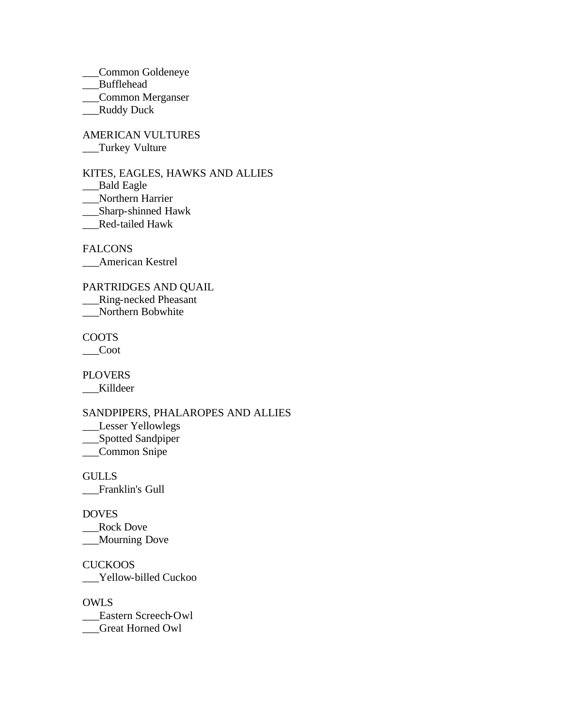\_\_\_Common Goldeneye

\_\_\_Bufflehead

\_\_\_Common Merganser

\_\_\_Ruddy Duck

AMERICAN VULTURES \_\_\_Turkey Vulture

KITES, EAGLES, HAWKS AND ALLIES \_Bald Eagle

\_\_\_Northern Harrier

\_\_\_Sharp-shinned Hawk

\_\_\_Red-tailed Hawk

FALCONS

\_\_\_American Kestrel

PARTRIDGES AND QUAIL \_\_\_Ring-necked Pheasant \_\_\_Northern Bobwhite

COOTS

\_\_\_Coot

PLOVERS \_\_\_Killdeer

SANDPIPERS, PHALAROPES AND ALLIES

\_\_\_Lesser Yellowlegs

\_\_\_Spotted Sandpiper

\_\_\_Common Snipe

**GULLS** \_\_\_Franklin's Gull

DOVES

\_\_Rock Dove \_\_\_Mourning Dove

**CUCKOOS** \_\_\_Yellow-billed Cuckoo

OWLS \_\_\_Eastern Screech-Owl \_\_\_Great Horned Owl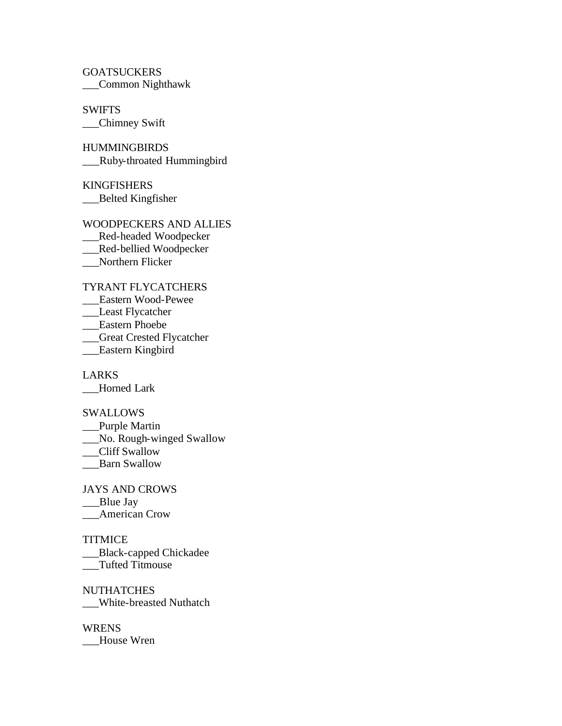**GOATSUCKERS** \_\_\_Common Nighthawk

SWIFTS \_\_\_Chimney Swift

**HUMMINGBIRDS** \_\_\_Ruby-throated Hummingbird

KINGFISHERS \_\_\_Belted Kingfisher

WOODPECKERS AND ALLIES \_\_\_Red-headed Woodpecker \_\_Red-bellied Woodpecker \_\_\_Northern Flicker

TYRANT FLYCATCHERS

\_\_\_Eastern Wood-Pewee

\_\_\_Least Flycatcher

\_\_\_Eastern Phoebe

\_\_\_Great Crested Flycatcher

\_\_\_Eastern Kingbird

LARKS \_\_\_Horned Lark

SWALLOWS

\_\_Purple Martin

\_\_\_No. Rough-winged Swallow

\_\_Cliff Swallow

Barn Swallow

JAYS AND CROWS

\_\_Blue Jay

\_\_\_American Crow

TITMICE

\_\_\_Black-capped Chickadee \_\_\_Tufted Titmouse

**NUTHATCHES** \_\_\_White-breasted Nuthatch

WRENS House Wren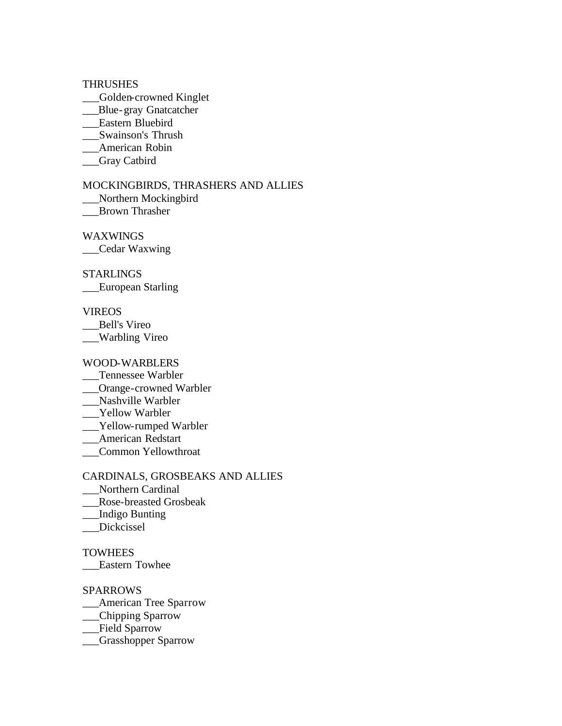### **THRUSHES**

- \_\_\_Golden-crowned Kinglet
- \_\_Blue-gray Gnatcatcher
- \_\_\_Eastern Bluebird
- \_\_\_Swainson's Thrush
- \_\_\_American Robin
- \_\_\_Gray Catbird

### MOCKINGBIRDS, THRASHERS AND ALLIES

- \_\_\_Northern Mockingbird
- \_\_\_Brown Thrasher

WAXWINGS

\_\_\_Cedar Waxwing

## STARLINGS

\_\_\_European Starling

#### VIREOS

\_\_\_Bell's Vireo

\_\_\_Warbling Vireo

## WOOD-WARBLERS

- \_\_\_Tennessee Warbler
- \_\_\_Orange-crowned Warbler
- \_\_\_Nashville Warbler
- Yellow Warbler
- \_\_\_Yellow-rumped Warbler
- \_\_\_American Redstart
- \_\_\_Common Yellowthroat

## CARDINALS, GROSBEAKS AND ALLIES

- \_\_\_Northern Cardinal
- \_\_\_Rose-breasted Grosbeak
- \_\_\_Indigo Bunting
- \_\_\_Dickcissel

#### **TOWHEES**

\_\_\_Eastern Towhee

# SPARROWS

- \_\_\_American Tree Sparrow
- \_\_Chipping Sparrow
- \_\_\_Field Sparrow
- \_\_\_Grasshopper Sparrow